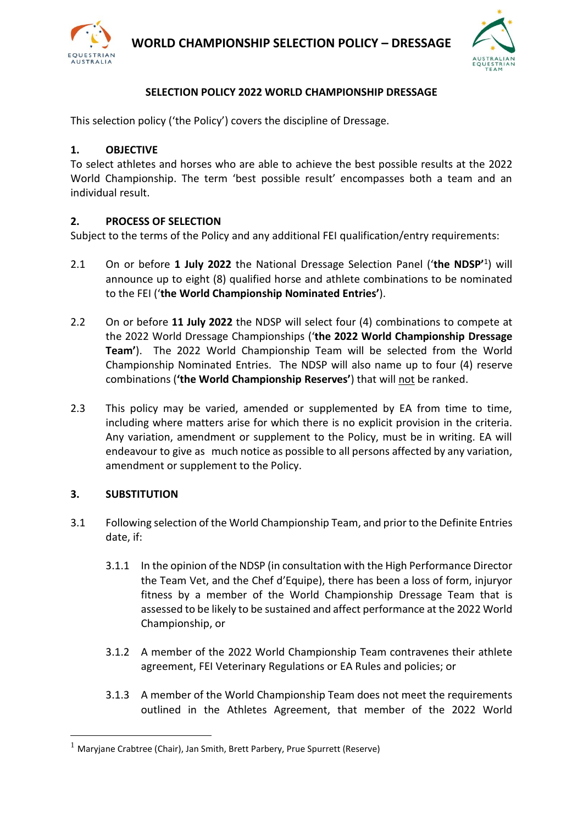

**WORLD CHAMPIONSHIP SELECTION POLICY – DRESSAGE**



## **SELECTION POLICY 2022 WORLD CHAMPIONSHIP DRESSAGE**

This selection policy ('the Policy') covers the discipline of Dressage.

### **1. OBJECTIVE**

To select athletes and horses who are able to achieve the best possible results at the 2022 World Championship. The term 'best possible result' encompasses both a team and an individual result.

#### **2. PROCESS OF SELECTION**

Subject to the terms of the Policy and any additional FEI qualification/entry requirements:

- 2.1 On or before **1 July 2022** the National Dressage Selection Panel ('**the NDSP'**<sup>1</sup> ) will announce up to eight (8) qualified horse and athlete combinations to be nominated to the FEI ('**the World Championship Nominated Entries'**).
- 2.2 On or before **11 July 2022** the NDSP will select four (4) combinations to compete at the 2022 World Dressage Championships ('**the 2022 World Championship Dressage Team'**). The 2022 World Championship Team will be selected from the World Championship Nominated Entries. The NDSP will also name up to four (4) reserve combinations (**'the World Championship Reserves'**) that will not be ranked.
- 2.3 This policy may be varied, amended or supplemented by EA from time to time, including where matters arise for which there is no explicit provision in the criteria. Any variation, amendment or supplement to the Policy, must be in writing. EA will endeavour to give as much notice as possible to all persons affected by any variation, amendment or supplement to the Policy.

#### **3. SUBSTITUTION**

- 3.1 Following selection of the World Championship Team, and prior to the Definite Entries date, if:
	- 3.1.1 In the opinion of the NDSP (in consultation with the High Performance Director the Team Vet, and the Chef d'Equipe), there has been a loss of form, injuryor fitness by a member of the World Championship Dressage Team that is assessed to be likely to be sustained and affect performance at the 2022 World Championship, or
	- 3.1.2 A member of the 2022 World Championship Team contravenes their athlete agreement, FEI Veterinary Regulations or EA Rules and policies; or
	- 3.1.3 A member of the World Championship Team does not meet the requirements outlined in the Athletes Agreement, that member of the 2022 World

 $<sup>1</sup>$  Maryjane Crabtree (Chair), Jan Smith, Brett Parbery, Prue Spurrett (Reserve)</sup>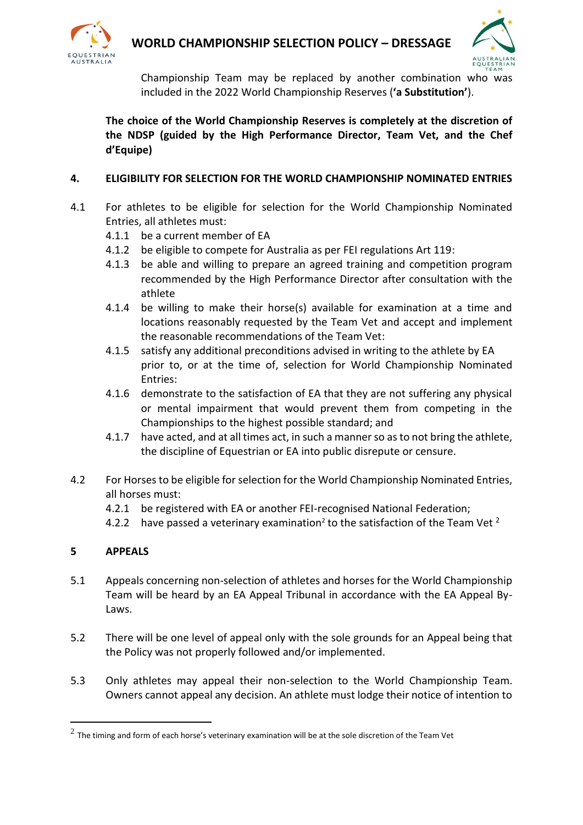



Championship Team may be replaced by another combination who was included in the 2022 World Championship Reserves (**'a Substitution'**).

**The choice of the World Championship Reserves is completely at the discretion of the NDSP (guided by the High Performance Director, Team Vet, and the Chef d'Equipe)**

## **4. ELIGIBILITY FOR SELECTION FOR THE WORLD CHAMPIONSHIP NOMINATED ENTRIES**

- 4.1 For athletes to be eligible for selection for the World Championship Nominated Entries, all athletes must:
	- 4.1.1 be a current member of EA
	- 4.1.2 be eligible to compete for Australia as per FEI regulations Art 119:
	- 4.1.3 be able and willing to prepare an agreed training and competition program recommended by the High Performance Director after consultation with the athlete
	- 4.1.4 be willing to make their horse(s) available for examination at a time and locations reasonably requested by the Team Vet and accept and implement the reasonable recommendations of the Team Vet:
	- 4.1.5 satisfy any additional preconditions advised in writing to the athlete by EA prior to, or at the time of, selection for World Championship Nominated Entries:
	- 4.1.6 demonstrate to the satisfaction of EA that they are not suffering any physical or mental impairment that would prevent them from competing in the Championships to the highest possible standard; and
	- 4.1.7 have acted, and at all times act, in such a manner so as to not bring the athlete, the discipline of Equestrian or EA into public disrepute or censure.
- 4.2 For Horses to be eligible for selection for the World Championship Nominated Entries, all horses must:
	- 4.2.1 be registered with EA or another FEI-recognised National Federation;
	- 4.2.2 have passed a veterinary examination<sup>2</sup> to the satisfaction of the Team Vet <sup>2</sup>

## **5 APPEALS**

- 5.1 Appeals concerning non-selection of athletes and horses for the World Championship Team will be heard by an EA Appeal Tribunal in accordance with the EA Appeal By-Laws.
- 5.2 There will be one level of appeal only with the sole grounds for an Appeal being that the Policy was not properly followed and/or implemented.
- 5.3 Only athletes may appeal their non-selection to the World Championship Team. Owners cannot appeal any decision. An athlete must lodge their notice of intention to

 $^2$  The timing and form of each horse's veterinary examination will be at the sole discretion of the Team Vet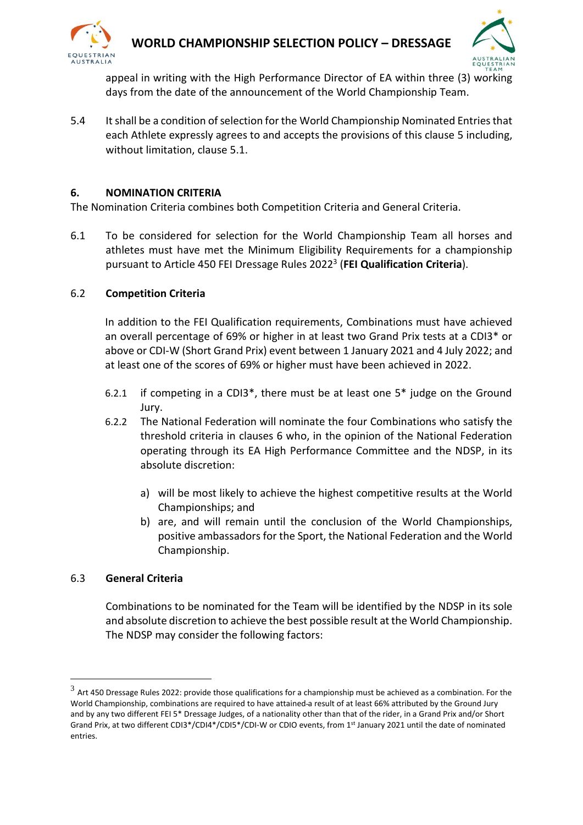



appeal in writing with the High Performance Director of EA within three (3) working days from the date of the announcement of the World Championship Team.

5.4 It shall be a condition of selection for the World Championship Nominated Entries that each Athlete expressly agrees to and accepts the provisions of this clause 5 including, without limitation, clause 5.1.

#### **6. NOMINATION CRITERIA**

The Nomination Criteria combines both Competition Criteria and General Criteria.

6.1 To be considered for selection for the World Championship Team all horses and athletes must have met the Minimum Eligibility Requirements for a championship pursuant to Article 450 FEI Dressage Rules 2022<sup>3</sup> (**FEI Qualification Criteria**).

#### 6.2 **Competition Criteria**

In addition to the FEI Qualification requirements, Combinations must have achieved an overall percentage of 69% or higher in at least two Grand Prix tests at a CDI3\* or above or CDI-W (Short Grand Prix) event between 1 January 2021 and 4 July 2022; and at least one of the scores of 69% or higher must have been achieved in 2022.

- 6.2.1 if competing in a CDI3\*, there must be at least one 5\* judge on the Ground Jury.
- 6.2.2 The National Federation will nominate the four Combinations who satisfy the threshold criteria in clauses 6 who, in the opinion of the National Federation operating through its EA High Performance Committee and the NDSP, in its absolute discretion:
	- a) will be most likely to achieve the highest competitive results at the World Championships; and
	- b) are, and will remain until the conclusion of the World Championships, positive ambassadors for the Sport, the National Federation and the World Championship.

## 6.3 **General Criteria**

Combinations to be nominated for the Team will be identified by the NDSP in its sole and absolute discretion to achieve the best possible result at the World Championship. The NDSP may consider the following factors:

 $^3$  Art 450 Dressage Rules 2022: provide those qualifications for a championship must be achieved as a combination. For the World Championship, combinations are required to have attained a result of at least 66% attributed by the Ground Jury and by any two different FEI 5\* Dressage Judges, of a nationality other than that of the rider, in a Grand Prix and/or Short Grand Prix, at two different CDI3\*/CDI4\*/CDI5\*/CDI-W or CDIO events, from 1st January 2021 until the date of nominated entries.